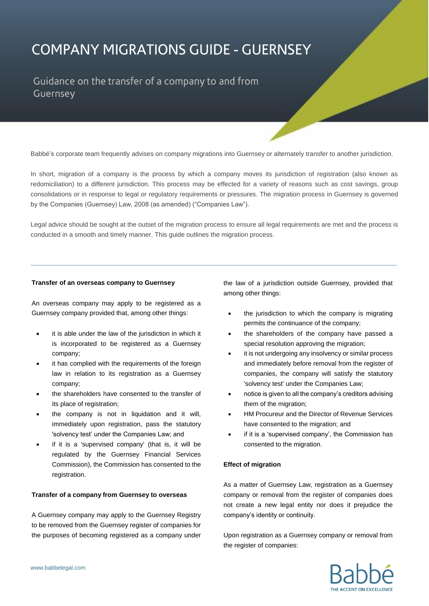# **COMPANY MIGRATIONS GUIDE - GUERNSEY**

Guidance on the transfer of a company to and from Guernsey

Babbé's corporate team frequently advises on company migrations into Guernsey or alternately transfer to another jurisdiction.

In short, migration of a company is the process by which a company moves its jurisdiction of registration (also known as redomiciliation) to a different jurisdiction. This process may be effected for a variety of reasons such as cost savings, group consolidations or in response to legal or regulatory requirements or pressures. The migration process in Guernsey is governed by the Companies (Guernsey) Law, 2008 (as amended) ("Companies Law").

Legal advice should be sought at the outset of the migration process to ensure all legal requirements are met and the process is conducted in a smooth and timely manner. This guide outlines the migration process.

#### **Transfer of an overseas company to Guernsey**

An overseas company may apply to be registered as a Guernsey company provided that, among other things:

- it is able under the law of the jurisdiction in which it is incorporated to be registered as a Guernsey company;
- it has complied with the requirements of the foreign law in relation to its registration as a Guernsey company;
- the shareholders have consented to the transfer of its place of registration;
- the company is not in liquidation and it will, immediately upon registration, pass the statutory 'solvency test' under the Companies Law; and
- if it is a 'supervised company' (that is, it will be regulated by the Guernsey Financial Services Commission), the Commission has consented to the registration.

## **Transfer of a company from Guernsey to overseas**

A Guernsey company may apply to the Guernsey Registry to be removed from the Guernsey register of companies for the purposes of becoming registered as a company under

the law of a jurisdiction outside Guernsey, provided that among other things:

- the jurisdiction to which the company is migrating permits the continuance of the company;
- the shareholders of the company have passed a special resolution approving the migration;
- it is not undergoing any insolvency or similar process and immediately before removal from the register of companies, the company will satisfy the statutory 'solvency test' under the Companies Law;
- notice is given to all the company's creditors advising them of the migration;
- HM Procureur and the Director of Revenue Services have consented to the migration; and
- if it is a 'supervised company', the Commission has consented to the migration.

### **Effect of migration**

As a matter of Guernsey Law, registration as a Guernsey company or removal from the register of companies does not create a new legal entity nor does it prejudice the company's identity or continuity.

Upon registration as a Guernsey company or removal from the register of companies: